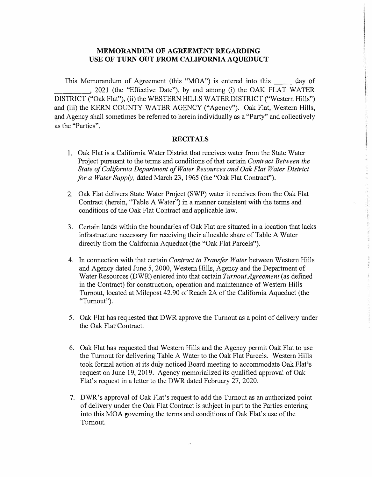## **MEMORANDUM OF AGREEMENT REGARDING**  USE OF TURN OUT FROM CALIFORNIA AQUEDUCT

This Memorandum of Agreement (this "MOA") is entered into this \_\_\_\_\_ day of ---� 2021 (the "Effective Date"), by and among (i) the OAK FLAT WATER DISTRICT ("Oak Flat"), (ii) the WESTERN HILLS WATER DISTRICT ("Western Hills") and (iii) the KERN COUNTY WATER AGENCY ("Agency"). Oak Flat, Western Hills, and Agency shall sometimes be referred to herein individually as a "Party" and collectively as the "Parties".

## **RECITALS**

- 1. Oak Flat is a California Water District that receives water from the State Water Project pursuant to the terms and conditions of that certain *Contract Between the State of California Department of Water Resources and Oak Flat Water District for a Water Supply,* dated March 23, 1965 (the "Oak Flat Contract").
- 2. Oak Flat delivers State Water Project (SWP) water it receives from the Oak Flat Contract (herein, "Table A Water") in a manner consistent with the terms and conditions of the Oak Flat Contract and applicable law.
- 3. Certain lands within the boundaries of Oak Flat are situated in a location that lacks infrastructure necessary for receiving their allocable share of Table A Water directly from the California Aqueduct (the "Oak Flat Parcels").
- 4. In connection with that certain *Contract to Transfer Water* between Western Hills and Agency dated June 5, 2000, Western Hills, Agency and the Department of Water Resources (DWR) entered into that certain *Turnout Agreement* (as defined in the Contract) for construction, operation and maintenance of Western Hills Turnout, located at Milepost 42.90 of Reach 2A of the California Aqueduct (the "Turnout").
- 5. Oak Flat has requested that D WR approve the Turnout as a point of delivery under the Oak Flat Contract.
- 6. Oak Flat has requested that Western Hills and the Agency permit Oak Flat to use the Turnout for delivering Table A Water to the Oak Flat Parcels. Western Hills took formal action at its duly noticed Board meeting to accommodate Oak Flat's request on June 19, 2019. Agency memorialized its qualified approval of Oak Flat's request in a letter to the DWR dated February 27, 2020.
- 7. DWR's approval of Oak Flat's request to add the Turnout as an authorized point of delivery under the Oak Flat Contract is subject in part to the Parties entering into this MOA governing the terms and conditions of Oak Flat's use of the Turnout.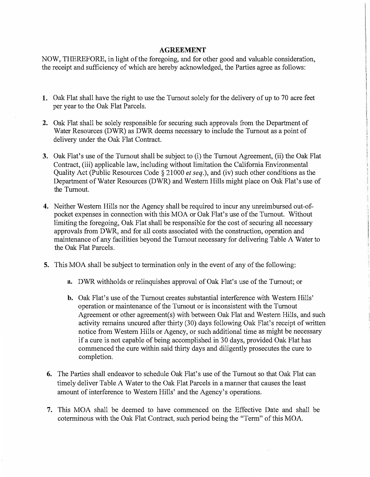## **AGREEMENT**

NOW, THEREFORE, in light of the foregoing, and for other good and valnable consideration, the receipt and sufficiency of which are hereby acknowledged, the Parties agree as follows:

- 1. Oak Flat shall have the right to use the Turnout solely for the delivery of up to 70 acre feet per year to the Oak Flat Parcels.
- **2.** Oak Flat shall be solely responsible for securing such approvals from the Department of Water Resources (DWR) as DWR deems necessary to include the Turnout as a point of delivery under the Oak Flat Contract.
- **3.** Oak Flat's use of the Turnout shall be subject to (i) the Turnout Agreement, (ii) the Oak Flat Contract, (iii) applicable law, including without limitation the California Environmental Quality Act (Public Resources Code§ 21000 *et seq.),* and (iv) such other conditions as the Department of Water Resources (DWR) and Western Hills might place on Oak Flat's use of the Turnout.
- **4.** Neither Western Hills nor the Agency shall be required to incur any unreimbursed out-ofpocket expenses in connection with this MOA or Oak Flat's use of the Turnout. Without limiting the foregoing, Oak Flat shall be responsible for the cost of securing all necessary approvals from DWR, and for all costs associated with the construction, operation and maintenance of any facilities beyond the Turnout necessary for delivering Table A Water to the Oak Flat Parcels.
- S. This MOA shall be subject to termination only in the event of any of the following:
	- **a.** DWR withholds or relinquishes approval of Oak Flat's use of the Turnout; or
	- **b.** Oak Flat's use of the Turnout creates substantial interference with Western Hills' operation or maintenance of the Turnout or is inconsistent with the Turnout Agreement or other agreement(s) with between Oak Flat and Western Hills, and such activity remains uncured after thirty (30) days following Oak Flat's receipt of written notice from Western Hills or Agency, or such additional time as might be necessary if a cure is not capable of being accomplished in 30 days, provided Oak Flat has commenced the cure within said thirty days and diligently prosecutes the cure to completion.
- **6.** The Parties shall endeavor to schedule Oak Flat's use of the Turnout so that Oak Flat can timely deliver Table A Water to the Oak Flat Parcels in a manner that causes the least amount of interference to Western Hills' and the Agency's operations.
- 7. This MOA shall be deemed to have commenced on the Effective Date and shall be coterminous with the Oak Flat Contract, such period being the "Term" of this MOA.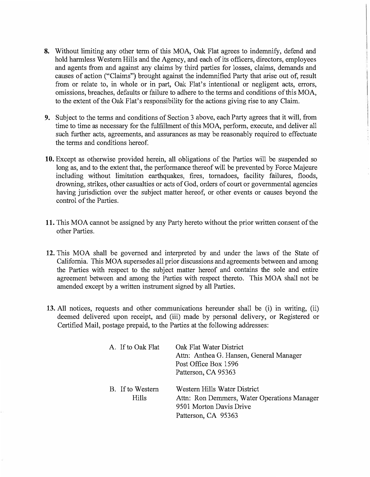- **8.** Without limiting any other term of this MOA, Oak Flat agrees to indemnify, defend and hold harmless Western Hills and the Agency, and each of its officers, directors, employees and agents from and against any claims by third parties for losses, claims, demands and causes of action ("Claims") brought against the indemnified Party that arise out of, result from or relate to, in whole or in part, Oak Flat's intentional or negligent acts, errors, omissions, breaches, defaults or failure to adhere to the terms and conditions of this MOA, to the extent of the Oak Flat's responsibility for the actions giving rise to any Claim.
- **9.** Subject to the terms and conditions of Section 3 above, each Party agrees that it will, from time to time as necessary for the fulfillment of this MOA, perform, execute, and deliver all such further acts, agreements, and assurances as may be reasonably required to effectuate the terms and conditions hereof.
- **10.** Except as otherwise provided herein, all obligations of the Parties will be suspended so long as, and to the extent that, the performance thereof will be prevented by Force Majeure including without limitation earthquakes, fires, tornadoes, facility failures, floods, drowning, strikes, other casualties or acts of God, orders of court or governmental agencies having jurisdiction over the subject matter hereof, or other events or causes beyond the control of the Parties.
- **11.** This MOA cannot be assigned by any Party hereto without the prior written consent of the other Parties.
- **12.** This MOA shall be governed and interpreted by and under the laws of the State of California. This MOA supersedes all prior discussions and agreements between and among the Parties with respect to the subject matter hereof and contains the sole and entire agreement between and among the Parties with respect thereto. This MOA shall not be amended except by a written instrument signed by all Parties.
- **13.** All notices, requests and other communications hereunder shall be (i) in writing, (ii) deemed delivered upon receipt, and (iii) made by personal delivery, or Registered or Certified Mail, postage prepaid, to the Parties at the following addresses:

| A. If to Oak Flat                | Oak Flat Water District<br>Attn: Anthea G. Hansen, General Manager<br>Post Office Box 1596<br>Patterson, CA 95363             |
|----------------------------------|-------------------------------------------------------------------------------------------------------------------------------|
| B. If to Western<br><b>Hills</b> | Western Hills Water District<br>Attn: Ron Demmers, Water Operations Manager<br>9501 Morton Davis Drive<br>Patterson, CA 95363 |